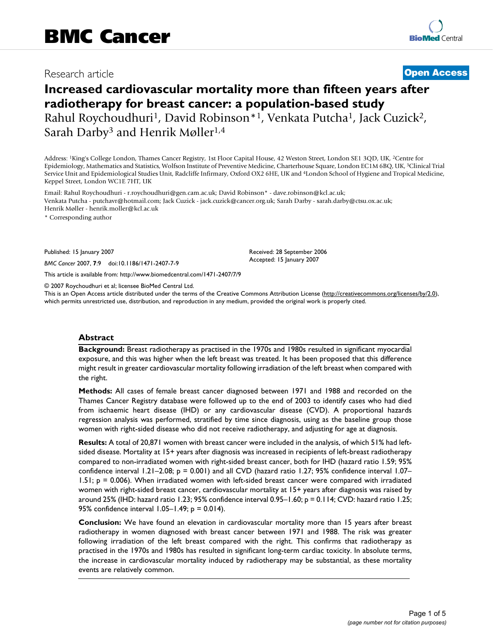## Research article **[Open Access](http://www.biomedcentral.com/info/about/charter/)**

# **Increased cardiovascular mortality more than fifteen years after radiotherapy for breast cancer: a population-based study** Rahul Roychoudhuri<sup>1</sup>, David Robinson<sup>\*1</sup>, Venkata Putcha<sup>1</sup>, Jack Cuzick<sup>2</sup>, Sarah Darby<sup>3</sup> and Henrik Møller<sup>1,4</sup>

Address: 1King's College London, Thames Cancer Registry, 1st Floor Capital House, 42 Weston Street, London SE1 3QD, UK, 2Centre for Epidemiology, Mathematics and Statistics, Wolfson Institute of Preventive Medicine, Charterhouse Square, London EC1M 6BQ, UK, 3Clinical Trial Service Unit and Epidemiological Studies Unit, Radcliffe Infirmary, Oxford OX2 6HE, UK and 4London School of Hygiene and Tropical Medicine, Keppel Street, London WC1E 7HT, UK

Email: Rahul Roychoudhuri - r.roychoudhuri@gen.cam.ac.uk; David Robinson\* - dave.robinson@kcl.ac.uk; Venkata Putcha - putchavr@hotmail.com; Jack Cuzick - jack.cuzick@cancer.org.uk; Sarah Darby - sarah.darby@ctsu.ox.ac.uk; Henrik Møller - henrik.moller@kcl.ac.uk

\* Corresponding author

Published: 15 January 2007

*BMC Cancer* 2007, **7**:9 doi:10.1186/1471-2407-7-9

[This article is available from: http://www.biomedcentral.com/1471-2407/7/9](http://www.biomedcentral.com/1471-2407/7/9)

© 2007 Roychoudhuri et al; licensee BioMed Central Ltd.

This is an Open Access article distributed under the terms of the Creative Commons Attribution License [\(http://creativecommons.org/licenses/by/2.0\)](http://creativecommons.org/licenses/by/2.0), which permits unrestricted use, distribution, and reproduction in any medium, provided the original work is properly cited.

Received: 28 September 2006 Accepted: 15 January 2007

#### **Abstract**

**Background:** Breast radiotherapy as practised in the 1970s and 1980s resulted in significant myocardial exposure, and this was higher when the left breast was treated. It has been proposed that this difference might result in greater cardiovascular mortality following irradiation of the left breast when compared with the right.

**Methods:** All cases of female breast cancer diagnosed between 1971 and 1988 and recorded on the Thames Cancer Registry database were followed up to the end of 2003 to identify cases who had died from ischaemic heart disease (IHD) or any cardiovascular disease (CVD). A proportional hazards regression analysis was performed, stratified by time since diagnosis, using as the baseline group those women with right-sided disease who did not receive radiotherapy, and adjusting for age at diagnosis.

**Results:** A total of 20,871 women with breast cancer were included in the analysis, of which 51% had leftsided disease. Mortality at 15+ years after diagnosis was increased in recipients of left-breast radiotherapy compared to non-irradiated women with right-sided breast cancer, both for IHD (hazard ratio 1.59; 95% confidence interval 1.21–2.08; p = 0.001) and all CVD (hazard ratio 1.27; 95% confidence interval 1.07– 1.51; p = 0.006). When irradiated women with left-sided breast cancer were compared with irradiated women with right-sided breast cancer, cardiovascular mortality at 15+ years after diagnosis was raised by around 25% (IHD: hazard ratio 1.23; 95% confidence interval 0.95–1.60; p = 0.114; CVD: hazard ratio 1.25; 95% confidence interval 1.05–1.49; p = 0.014).

**Conclusion:** We have found an elevation in cardiovascular mortality more than 15 years after breast radiotherapy in women diagnosed with breast cancer between 1971 and 1988. The risk was greater following irradiation of the left breast compared with the right. This confirms that radiotherapy as practised in the 1970s and 1980s has resulted in significant long-term cardiac toxicity. In absolute terms, the increase in cardiovascular mortality induced by radiotherapy may be substantial, as these mortality events are relatively common.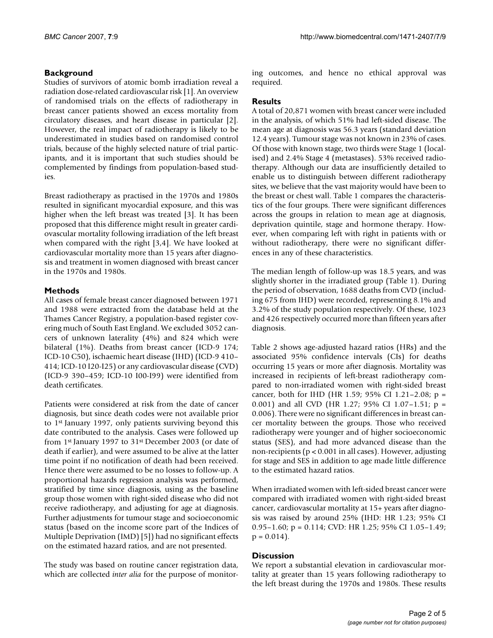#### **Background**

Studies of survivors of atomic bomb irradiation reveal a radiation dose-related cardiovascular risk [1]. An overview of randomised trials on the effects of radiotherapy in breast cancer patients showed an excess mortality from circulatory diseases, and heart disease in particular [2]. However, the real impact of radiotherapy is likely to be underestimated in studies based on randomised control trials, because of the highly selected nature of trial participants, and it is important that such studies should be complemented by findings from population-based studies.

Breast radiotherapy as practised in the 1970s and 1980s resulted in significant myocardial exposure, and this was higher when the left breast was treated [3]. It has been proposed that this difference might result in greater cardiovascular mortality following irradiation of the left breast when compared with the right [3,4]. We have looked at cardiovascular mortality more than 15 years after diagnosis and treatment in women diagnosed with breast cancer in the 1970s and 1980s.

#### **Methods**

All cases of female breast cancer diagnosed between 1971 and 1988 were extracted from the database held at the Thames Cancer Registry, a population-based register covering much of South East England. We excluded 3052 cancers of unknown laterality (4%) and 824 which were bilateral (1%). Deaths from breast cancer (ICD-9 174; ICD-10 C50), ischaemic heart disease (IHD) (ICD-9 410– 414; ICD-10 I20-I25) or any cardiovascular disease (CVD) (ICD-9 390–459; ICD-10 I00-I99) were identified from death certificates.

Patients were considered at risk from the date of cancer diagnosis, but since death codes were not available prior to 1st January 1997, only patients surviving beyond this date contributed to the analysis. Cases were followed up from 1st January 1997 to 31st December 2003 (or date of death if earlier), and were assumed to be alive at the latter time point if no notification of death had been received. Hence there were assumed to be no losses to follow-up. A proportional hazards regression analysis was performed, stratified by time since diagnosis, using as the baseline group those women with right-sided disease who did not receive radiotherapy, and adjusting for age at diagnosis. Further adjustments for tumour stage and socioeconomic status (based on the income score part of the Indices of Multiple Deprivation (IMD) [5]) had no significant effects on the estimated hazard ratios, and are not presented.

The study was based on routine cancer registration data, which are collected *inter alia* for the purpose of monitoring outcomes, and hence no ethical approval was required.

### **Results**

A total of 20,871 women with breast cancer were included in the analysis, of which 51% had left-sided disease. The mean age at diagnosis was 56.3 years (standard deviation 12.4 years). Tumour stage was not known in 23% of cases. Of those with known stage, two thirds were Stage 1 (localised) and 2.4% Stage 4 (metastases). 53% received radiotherapy. Although our data are insufficiently detailed to enable us to distinguish between different radiotherapy sites, we believe that the vast majority would have been to the breast or chest wall. Table 1 compares the characteristics of the four groups. There were significant differences across the groups in relation to mean age at diagnosis, deprivation quintile, stage and hormone therapy. However, when comparing left with right in patients with or without radiotherapy, there were no significant differences in any of these characteristics.

The median length of follow-up was 18.5 years, and was slightly shorter in the irradiated group (Table 1). During the period of observation, 1688 deaths from CVD (including 675 from IHD) were recorded, representing 8.1% and 3.2% of the study population respectively. Of these, 1023 and 426 respectively occurred more than fifteen years after diagnosis.

Table 2 shows age-adjusted hazard ratios (HRs) and the associated 95% confidence intervals (CIs) for deaths occurring 15 years or more after diagnosis. Mortality was increased in recipients of left-breast radiotherapy compared to non-irradiated women with right-sided breast cancer, both for IHD (HR 1.59; 95% CI 1.21–2.08; p = 0.001) and all CVD (HR 1.27; 95% CI 1.07–1.51; p = 0.006). There were no significant differences in breast cancer mortality between the groups. Those who received radiotherapy were younger and of higher socioeconomic status (SES), and had more advanced disease than the non-recipients (p < 0.001 in all cases). However, adjusting for stage and SES in addition to age made little difference to the estimated hazard ratios.

When irradiated women with left-sided breast cancer were compared with irradiated women with right-sided breast cancer, cardiovascular mortality at 15+ years after diagnosis was raised by around 25% (IHD: HR 1.23; 95% CI 0.95–1.60; p = 0.114; CVD: HR 1.25; 95% CI 1.05–1.49;  $p = 0.014$ .

#### **Discussion**

We report a substantial elevation in cardiovascular mortality at greater than 15 years following radiotherapy to the left breast during the 1970s and 1980s. These results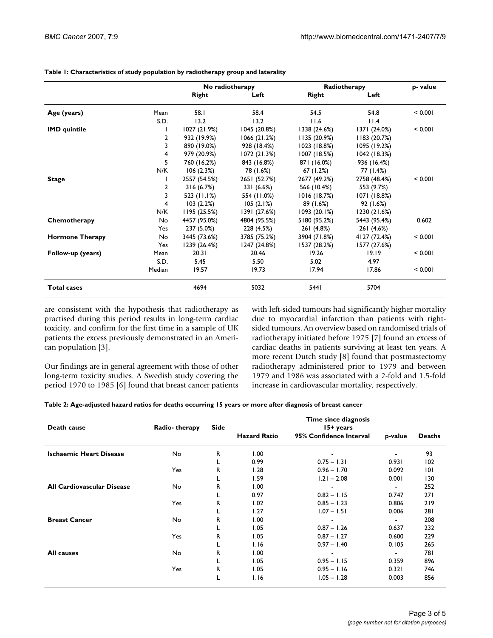#### **Table 1: Characteristics of study population by radiotherapy group and laterality**

|                        |                | No radiotherapy |              | Radiotherapy |              | p- value |
|------------------------|----------------|-----------------|--------------|--------------|--------------|----------|
|                        |                | Right           | Left         | Right        | Left         |          |
| Age (years)            | Mean           | 58.I            | 58.4         | 54.5         | 54.8         | < 0.001  |
|                        | S.D.           | 13.2            | 13.2         | 11.6         | 11.4         |          |
| <b>IMD</b> quintile    |                | 1027 (21.9%)    | 1045 (20.8%) | 1338 (24.6%) | 1371 (24.0%) | < 0.001  |
|                        | 2              | 932 (19.9%)     | 1066(21.2%)  | 1135(20.9%)  | 1183 (20.7%) |          |
|                        | 3              | 890 (19.0%)     | 928 (18.4%)  | 1023 (18.8%) | 1095 (19.2%) |          |
|                        | 4              | 979 (20.9%)     | 1072 (21.3%) | 1007 (18.5%) | 1042 (18.3%) |          |
|                        | 5              | 760 (16.2%)     | 843 (16.8%)  | 871 (16.0%)  | 936 (16.4%)  |          |
|                        | N/K            | 106(2.3%)       | 78 (1.6%)    | 67 (1.2%)    | 77 (1.4%)    |          |
| <b>Stage</b>           |                | 2557 (54.5%)    | 2651 (52.7%) | 2677 (49.2%) | 2758 (48.4%) | < 0.001  |
|                        | $\overline{2}$ | 316(6.7%)       | 331 (6.6%)   | 566 (10.4%)  | 553 (9.7%)   |          |
|                        | 3              | 523 (11.1%)     | 554 (11.0%)  | 1016 (18.7%) | 1071 (18.8%) |          |
|                        | 4              | 103(2.2%)       | 105(2.1%)    | 89 (1.6%)    | 92 (1.6%)    |          |
|                        | N/K            | 1195 (25.5%)    | 1391 (27.6%) | 1093(20.1%)  | 1230 (21.6%) |          |
| Chemotherapy           | No             | 4457 (95.0%)    | 4804 (95.5%) | 5180 (95.2%) | 5443 (95.4%) | 0.602    |
|                        | Yes            | 237 (5.0%)      | 228 (4.5%)   | 261 (4.8%)   | 261 (4.6%)   |          |
| <b>Hormone Therapy</b> | No             | 3445 (73.6%)    | 3785 (75.2%) | 3904 (71.8%) | 4127 (72.4%) | < 0.001  |
|                        | Yes            | 1239 (26.4%)    | 1247 (24.8%) | 1537 (28.2%) | 1577 (27.6%) |          |
| Follow-up (years)      | Mean           | 20.31           | 20.46        | 19.26        | 19.19        | < 0.001  |
|                        | S.D.           | 5.45            | 5.50         | 5.02         | 4.97         |          |
|                        | Median         | 19.57           | 19.73        | 17.94        | 17.86        | < 0.001  |
| <b>Total cases</b>     |                | 4694            | 5032         | 5441         | 5704         |          |

are consistent with the hypothesis that radiotherapy as practised during this period results in long-term cardiac toxicity, and confirm for the first time in a sample of UK patients the excess previously demonstrated in an American population [3].

Our findings are in general agreement with those of other long-term toxicity studies. A Swedish study covering the period 1970 to 1985 [6] found that breast cancer patients with left-sided tumours had significantly higher mortality due to myocardial infarction than patients with rightsided tumours. An overview based on randomised trials of radiotherapy initiated before 1975 [7] found an excess of cardiac deaths in patients surviving at least ten years. A more recent Dutch study [8] found that postmastectomy radiotherapy administered prior to 1979 and between 1979 and 1986 was associated with a 2-fold and 1.5-fold increase in cardiovascular mortality, respectively.

| Table 2: Age-adjusted hazard ratios for deaths occurring 15 years or more after diagnosis of breast cancer |  |  |  |
|------------------------------------------------------------------------------------------------------------|--|--|--|
|------------------------------------------------------------------------------------------------------------|--|--|--|

| Death cause                       | Radio-therapy | <b>Side</b> | Time since diagnosis<br>15+ years |                         |                          |               |
|-----------------------------------|---------------|-------------|-----------------------------------|-------------------------|--------------------------|---------------|
|                                   |               |             | <b>Hazard Ratio</b>               | 95% Confidence Interval | p-value                  | <b>Deaths</b> |
| <b>Ischaemic Heart Disease</b>    | No            | R           | 1.00                              |                         |                          | 93            |
|                                   |               | L           | 0.99                              | $0.75 - 1.31$           | 0.931                    | 102           |
|                                   | Yes           | R           | 1.28                              | $0.96 - 1.70$           | 0.092                    | 0             |
|                                   |               | L           | 1.59                              | $1.21 - 2.08$           | 0.001                    | 130           |
| <b>All Cardiovascular Disease</b> | No            | R           | 1.00                              |                         | $\overline{\phantom{0}}$ | 252           |
|                                   |               | L           | 0.97                              | $0.82 - 1.15$           | 0.747                    | 271           |
|                                   | Yes           | R           | 1.02                              | $0.85 - 1.23$           | 0.806                    | 219           |
|                                   |               | L           | 1.27                              | $1.07 - 1.51$           | 0.006                    | 281           |
| <b>Breast Cancer</b>              | No            | R           | 1.00                              |                         |                          | 208           |
|                                   |               | L           | 1.05                              | $0.87 - 1.26$           | 0.637                    | 232           |
|                                   | Yes           | R           | 1.05                              | $0.87 - 1.27$           | 0.600                    | 229           |
|                                   |               |             | 1.16                              | $0.97 - 1.40$           | 0.105                    | 265           |
| <b>All causes</b>                 | No            | R           | 1.00                              |                         |                          | 781           |
|                                   |               |             | 1.05                              | $0.95 - 1.15$           | 0.359                    | 896           |
|                                   | Yes           | R           | 1.05                              | $0.95 - 1.16$           | 0.321                    | 746           |
|                                   |               |             | 1.16                              | $1.05 - 1.28$           | 0.003                    | 856           |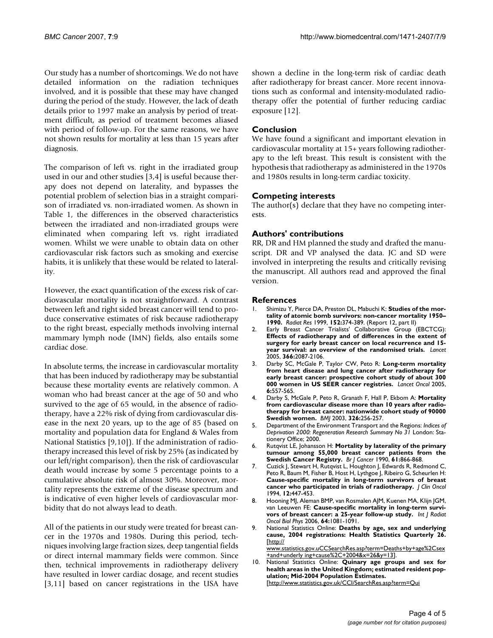Our study has a number of shortcomings. We do not have detailed information on the radiation techniques involved, and it is possible that these may have changed during the period of the study. However, the lack of death details prior to 1997 make an analysis by period of treatment difficult, as period of treatment becomes aliased with period of follow-up. For the same reasons, we have not shown results for mortality at less than 15 years after diagnosis.

The comparison of left vs. right in the irradiated group used in our and other studies [3,4] is useful because therapy does not depend on laterality, and bypasses the potential problem of selection bias in a straight comparison of irradiated vs. non-irradiated women. As shown in Table 1, the differences in the observed characteristics between the irradiated and non-irradiated groups were eliminated when comparing left vs. right irradiated women. Whilst we were unable to obtain data on other cardiovascular risk factors such as smoking and exercise habits, it is unlikely that these would be related to laterality.

However, the exact quantification of the excess risk of cardiovascular mortality is not straightforward. A contrast between left and right sided breast cancer will tend to produce conservative estimates of risk because radiotherapy to the right breast, especially methods involving internal mammary lymph node (IMN) fields, also entails some cardiac dose.

In absolute terms, the increase in cardiovascular mortality that has been induced by radiotherapy may be substantial because these mortality events are relatively common. A woman who had breast cancer at the age of 50 and who survived to the age of 65 would, in the absence of radiotherapy, have a 22% risk of dying from cardiovascular disease in the next 20 years, up to the age of 85 (based on mortality and population data for England & Wales from National Statistics [9,10]). If the administration of radiotherapy increased this level of risk by 25% (as indicated by our left/right comparison), then the risk of cardiovascular death would increase by some 5 percentage points to a cumulative absolute risk of almost 30%. Moreover, mortality represents the extreme of the disease spectrum and is indicative of even higher levels of cardiovascular morbidity that do not always lead to death.

All of the patients in our study were treated for breast cancer in the 1970s and 1980s. During this period, techniques involving large fraction sizes, deep tangential fields or direct internal mammary fields were common. Since then, technical improvements in radiotherapy delivery have resulted in lower cardiac dosage, and recent studies [3,11] based on cancer registrations in the USA have shown a decline in the long-term risk of cardiac death after radiotherapy for breast cancer. More recent innovations such as conformal and intensity-modulated radiotherapy offer the potential of further reducing cardiac exposure [12].

#### **Conclusion**

We have found a significant and important elevation in cardiovascular mortality at 15+ years following radiotherapy to the left breast. This result is consistent with the hypothesis that radiotherapy as administered in the 1970s and 1980s results in long-term cardiac toxicity.

#### **Competing interests**

The author(s) declare that they have no competing interests.

#### **Authors' contributions**

RR, DR and HM planned the study and drafted the manuscript. DR and VP analysed the data. JC and SD were involved in interpreting the results and critically revising the manuscript. All authors read and approved the final version.

#### **References**

- 1. Shimizu Y, Pierce DA, Preston DL, Mabuchi K: **[Studies of the mor](http://www.ncbi.nlm.nih.gov/entrez/query.fcgi?cmd=Retrieve&db=PubMed&dopt=Abstract&list_uids=10477914)[tality of atomic bomb survivors: non-cancer mortality 1950–](http://www.ncbi.nlm.nih.gov/entrez/query.fcgi?cmd=Retrieve&db=PubMed&dopt=Abstract&list_uids=10477914) [1990.](http://www.ncbi.nlm.nih.gov/entrez/query.fcgi?cmd=Retrieve&db=PubMed&dopt=Abstract&list_uids=10477914)** *Radiat Res* 1999, **152:**374-389. (Report 12, part II)
- 2. Early Breast Cancer Trialists' Collaborative Group (EBCTCG): **[Effects of radiotherapy and of differences in the extent of](http://www.ncbi.nlm.nih.gov/entrez/query.fcgi?cmd=Retrieve&db=PubMed&dopt=Abstract&list_uids=16360786) surgery for early breast cancer on local recurrence and 15 [year survival: an overview of the randomised trials.](http://www.ncbi.nlm.nih.gov/entrez/query.fcgi?cmd=Retrieve&db=PubMed&dopt=Abstract&list_uids=16360786)** *Lancet* 2005, **366:**2087-2106.
- 3. Darby SC, McGale P, Taylor CW, Peto R: **[Long-term mortality](http://www.ncbi.nlm.nih.gov/entrez/query.fcgi?cmd=Retrieve&db=PubMed&dopt=Abstract&list_uids=16054566) [from heart disease and lung cancer after radiotherapy for](http://www.ncbi.nlm.nih.gov/entrez/query.fcgi?cmd=Retrieve&db=PubMed&dopt=Abstract&list_uids=16054566) early breast cancer: prospective cohort study of about 300 [000 women in US SEER cancer registries.](http://www.ncbi.nlm.nih.gov/entrez/query.fcgi?cmd=Retrieve&db=PubMed&dopt=Abstract&list_uids=16054566)** *Lancet Oncol* 2005, **6:**557-565.
- 4. Darby S, McGale P, Peto R, Granath F, Hall P, Ekbom A: **[Mortality](http://www.ncbi.nlm.nih.gov/entrez/query.fcgi?cmd=Retrieve&db=PubMed&dopt=Abstract&list_uids=12560277) [from cardiovascular disease more than 10 years after radio](http://www.ncbi.nlm.nih.gov/entrez/query.fcgi?cmd=Retrieve&db=PubMed&dopt=Abstract&list_uids=12560277)therapy for breast cancer: nationwide cohort study of 90000 [Swedish women.](http://www.ncbi.nlm.nih.gov/entrez/query.fcgi?cmd=Retrieve&db=PubMed&dopt=Abstract&list_uids=12560277)** *BMJ* 2003, **326:**256-257.
- 5. Department of the Environment Transport and the Regions: *Indices of Deprivation 2000: Regeneration Research Summary No 31* London: Stationery Office; 2000.
- 6. Rutqvist LE, Johansson H: **[Mortality by laterality of the primary](http://www.ncbi.nlm.nih.gov/entrez/query.fcgi?cmd=Retrieve&db=PubMed&dopt=Abstract&list_uids=2372488) [tumour among 55,000 breast cancer patients from the](http://www.ncbi.nlm.nih.gov/entrez/query.fcgi?cmd=Retrieve&db=PubMed&dopt=Abstract&list_uids=2372488) [Swedish Cancer Registry.](http://www.ncbi.nlm.nih.gov/entrez/query.fcgi?cmd=Retrieve&db=PubMed&dopt=Abstract&list_uids=2372488)** *Br J Cancer* 1990, **61:**866-868.
- 7. Cuzick J, Stewart H, Rutqvist L, Houghton J, Edwards R, Redmond C, Peto R, Baum M, Fisher B, Host H, Lythgoe J, Ribeiro G, Scheurlen H: **[Cause-specific mortality in long-term survivors of breast](http://www.ncbi.nlm.nih.gov/entrez/query.fcgi?cmd=Retrieve&db=PubMed&dopt=Abstract&list_uids=8120544) [cancer who participated in trials of radiotherapy.](http://www.ncbi.nlm.nih.gov/entrez/query.fcgi?cmd=Retrieve&db=PubMed&dopt=Abstract&list_uids=8120544)** *J Clin Oncol* 1994, **12:**447-453.
- 8. Hooning MJ, Aleman BMP, van Rosmalen AJM, Kuenen MA, Klijn JGM, van Leeuwen FE: **[Cause-specific mortality in long-term survi](http://www.ncbi.nlm.nih.gov/entrez/query.fcgi?cmd=Retrieve&db=PubMed&dopt=Abstract&list_uids=16446057)[vors of breast cancer: a 25-year follow-up study.](http://www.ncbi.nlm.nih.gov/entrez/query.fcgi?cmd=Retrieve&db=PubMed&dopt=Abstract&list_uids=16446057)** *Int J Radiat Oncol Biol Phys* 2006, **64:**1081-1091.
- 9. National Statistics Online: **Deaths by age, sex and underlying cause, 2004 registrations: Health Statistics Quarterly 26.** [[http://](http://www.statistics.gov.uk/CCI/SearchRes.asp?term=Deaths+by+age%2Csex+and+underlying+cause%2C+2004&x=26&y=13) [www.statistics.gov.uCCSearchRes.asp?term=Deaths+by+age%2Csex](http://www.statistics.gov.uk/CCI/SearchRes.asp?term=Deaths+by+age%2Csex+and+underlying+cause%2C+2004&x=26&y=13)

[+and+underly ing+cause%2C+2004&x=26&y=13\]](http://www.statistics.gov.uk/CCI/SearchRes.asp?term=Deaths+by+age%2Csex+and+underlying+cause%2C+2004&x=26&y=13). 10. National Statistics Online: **Quinary age groups and sex for**

**health areas in the United Kingdom; estimated resident population; Mid-2004 Population Estimates.** [[http://www.statistics.gov.uk/CCI/SearchRes.asp?term=Qui](http://www.statistics.gov.uk/CCI/SearchRes.asp?term=Quinary+age+groups+and+sex+%2B+health+areas+%2B+Mid-2004+population+%2B+corrected&x=19&y=10)